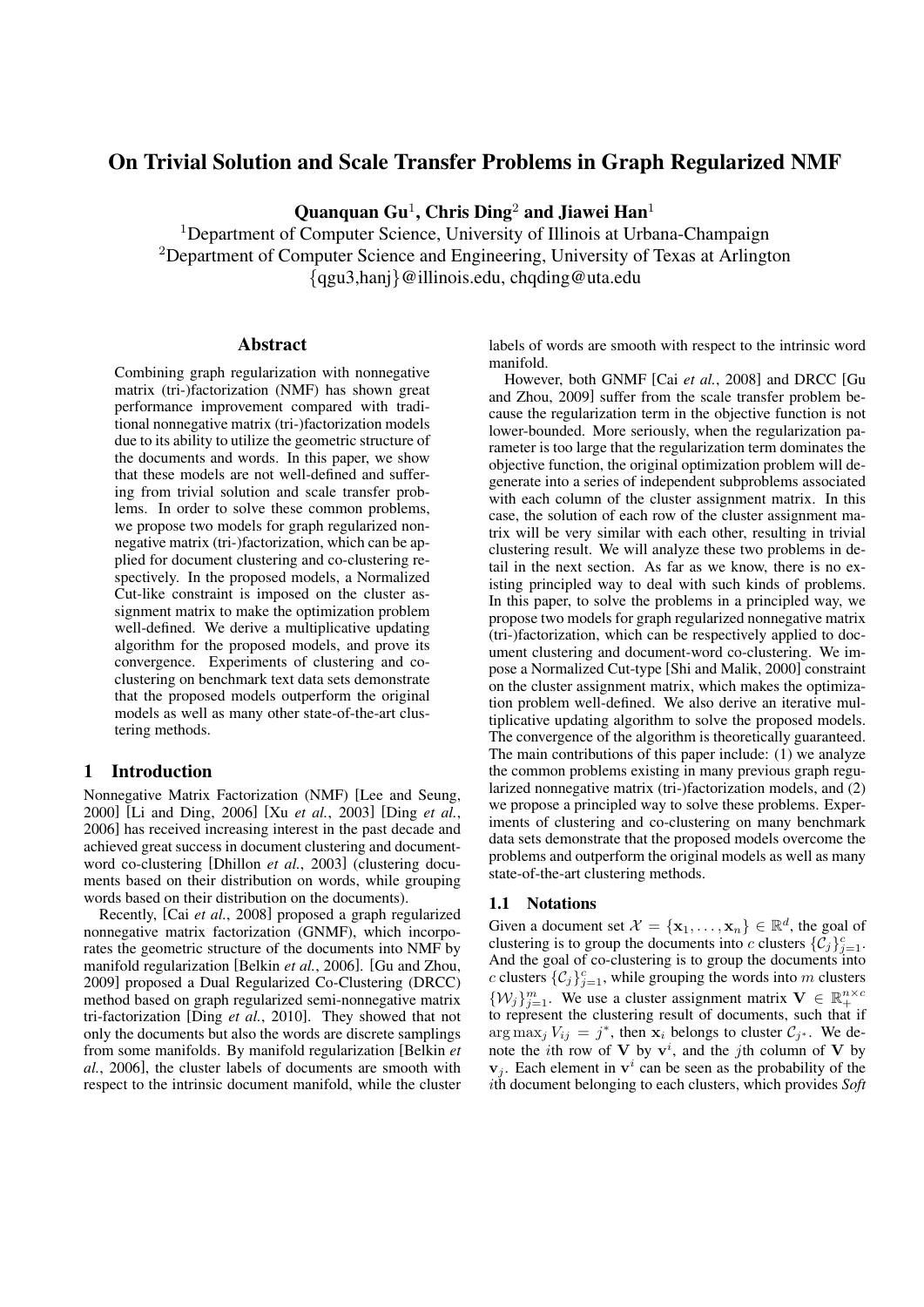# On Trivial Solution and Scale Transfer Problems in Graph Regularized NMF

Quanquan Gu<sup>1</sup>, Chris Ding<sup>2</sup> and Jiawei Han<sup>1</sup>

<sup>1</sup>Department of Computer Science, University of Illinois at Urbana-Champaign <sup>2</sup>Department of Computer Science and Engineering, University of Texas at Arlington *{*qgu3,hanj*}*@illinois.edu, chqding@uta.edu

# Abstract

Combining graph regularization with nonnegative matrix (tri-)factorization (NMF) has shown great performance improvement compared with traditional nonnegative matrix (tri-)factorization models due to its ability to utilize the geometric structure of the documents and words. In this paper, we show that these models are not well-defined and suffering from trivial solution and scale transfer problems. In order to solve these common problems, we propose two models for graph regularized nonnegative matrix (tri-)factorization, which can be applied for document clustering and co-clustering respectively. In the proposed models, a Normalized Cut-like constraint is imposed on the cluster assignment matrix to make the optimization problem well-defined. We derive a multiplicative updating algorithm for the proposed models, and prove its convergence. Experiments of clustering and coclustering on benchmark text data sets demonstrate that the proposed models outperform the original models as well as many other state-of-the-art clustering methods.

# 1 Introduction

Nonnegative Matrix Factorization (NMF) [Lee and Seung, 2000] [Li and Ding, 2006] [Xu *et al.*, 2003] [Ding *et al.*, 2006] has received increasing interest in the past decade and achieved great success in document clustering and documentword co-clustering [Dhillon *et al.*, 2003] (clustering documents based on their distribution on words, while grouping words based on their distribution on the documents).

Recently, [Cai *et al.*, 2008] proposed a graph regularized nonnegative matrix factorization (GNMF), which incorporates the geometric structure of the documents into NMF by manifold regularization [Belkin *et al.*, 2006]. [Gu and Zhou, 2009] proposed a Dual Regularized Co-Clustering (DRCC) method based on graph regularized semi-nonnegative matrix tri-factorization [Ding *et al.*, 2010]. They showed that not only the documents but also the words are discrete samplings from some manifolds. By manifold regularization [Belkin *et al.*, 2006], the cluster labels of documents are smooth with respect to the intrinsic document manifold, while the cluster labels of words are smooth with respect to the intrinsic word manifold.

However, both GNMF [Cai *et al.*, 2008] and DRCC [Gu and Zhou, 2009] suffer from the scale transfer problem because the regularization term in the objective function is not lower-bounded. More seriously, when the regularization parameter is too large that the regularization term dominates the objective function, the original optimization problem will degenerate into a series of independent subproblems associated with each column of the cluster assignment matrix. In this case, the solution of each row of the cluster assignment matrix will be very similar with each other, resulting in trivial clustering result. We will analyze these two problems in detail in the next section. As far as we know, there is no existing principled way to deal with such kinds of problems. In this paper, to solve the problems in a principled way, we propose two models for graph regularized nonnegative matrix (tri-)factorization, which can be respectively applied to document clustering and document-word co-clustering. We impose a Normalized Cut-type [Shi and Malik, 2000] constraint on the cluster assignment matrix, which makes the optimization problem well-defined. We also derive an iterative multiplicative updating algorithm to solve the proposed models. The convergence of the algorithm is theoretically guaranteed. The main contributions of this paper include: (1) we analyze the common problems existing in many previous graph regularized nonnegative matrix (tri-)factorization models, and (2) we propose a principled way to solve these problems. Experiments of clustering and co-clustering on many benchmark data sets demonstrate that the proposed models overcome the problems and outperform the original models as well as many state-of-the-art clustering methods.

#### 1.1 Notations

Given a document set  $\mathcal{X} = {\mathbf{x}_1, \dots, \mathbf{x}_n} \in \mathbb{R}^d$ , the goal of clustering is to group the documents into *c* clusters  $\{\tilde{C}_j\}_{j=1}^c$ . And the goal of co-clustering is to group the documents into *c* clusters  $\{C_j\}_{j=1}^c$ , while grouping the words into *m* clusters  $\{W_j\}_{j=1}^m$ . We use a cluster assignment matrix  $V \in \mathbb{R}_+^{n \times c}$ to represent the clustering result of documents, such that if arg max<sub>*j*</sub>  $V_{ij} = j^*$ , then **x**<sub>*i*</sub> belongs to cluster  $C_{j^*}$ . We denote the *i*th row of **V** by  $v^i$ , and the *j*th column of **V** by  $\mathbf{v}_j$ . Each element in  $\mathbf{v}^i$  can be seen as the probability of the *i*th document belonging to each clusters, which provides *Soft*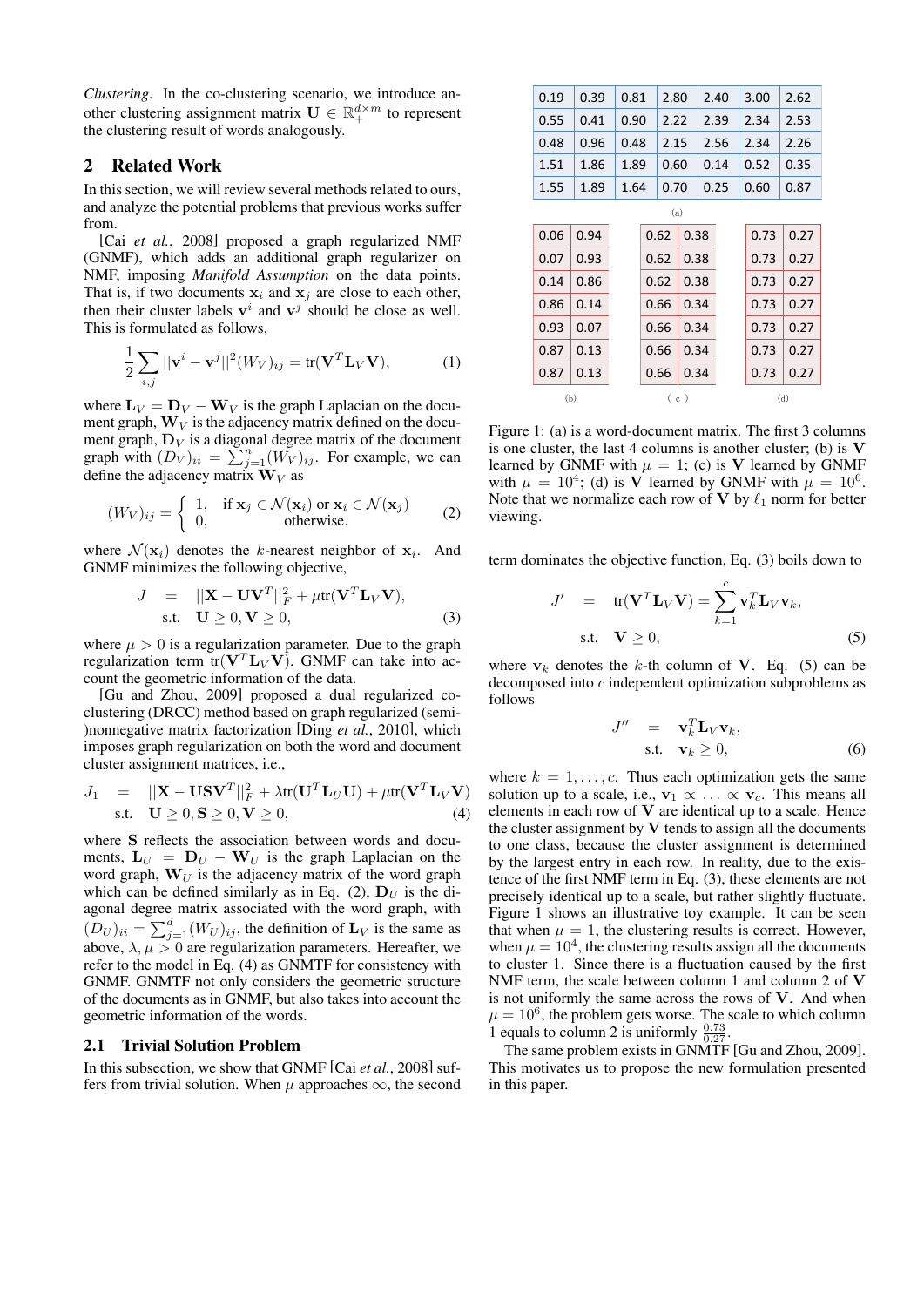*Clustering*. In the co-clustering scenario, we introduce another clustering assignment matrix  $\mathbf{U} \in \mathbb{R}_+^{d \times m}$  to represent the clustering result of words analogously.

# 2 Related Work

In this section, we will review several methods related to ours, and analyze the potential problems that previous works suffer from.

[Cai *et al.*, 2008] proposed a graph regularized NMF (GNMF), which adds an additional graph regularizer on NMF, imposing *Manifold Assumption* on the data points. That is, if two documents  $x_i$  and  $x_j$  are close to each other, then their cluster labels  $v^i$  and  $v^j$  should be close as well. This is formulated as follows,

$$
\frac{1}{2} \sum_{i,j} ||\mathbf{v}^i - \mathbf{v}^j||^2 (W_V)_{ij} = \text{tr}(\mathbf{V}^T \mathbf{L}_V \mathbf{V}),\tag{1}
$$

where  $\mathbf{L}_V = \mathbf{D}_V - \mathbf{W}_V$  is the graph Laplacian on the document graph,  $W_V$  is the adjacency matrix defined on the document graph,  $D_V$  is a diagonal degree matrix of the document graph with  $(D_V)_{ii} = \sum_{j=1}^{n} (W_V)_{ij}$ . For example, we can define the adjacency matrix  $W_V$  as

$$
(W_V)_{ij} = \begin{cases} 1, & \text{if } \mathbf{x}_j \in \mathcal{N}(\mathbf{x}_i) \text{ or } \mathbf{x}_i \in \mathcal{N}(\mathbf{x}_j) \\ 0, & \text{otherwise.} \end{cases}
$$
 (2)

where  $\mathcal{N}(\mathbf{x}_i)$  denotes the *k*-nearest neighbor of  $\mathbf{x}_i$ . And GNMF minimizes the following objective,

$$
J = ||\mathbf{X} - \mathbf{U}\mathbf{V}^T||_F^2 + \mu \text{tr}(\mathbf{V}^T \mathbf{L}_V \mathbf{V}),
$$
  
s.t.  $\mathbf{U} \ge 0, \mathbf{V} \ge 0,$  (3)

where  $\mu > 0$  is a regularization parameter. Due to the graph regularization term  $tr(V^T L_V V)$ , GNMF can take into account the geometric information of the data.

[Gu and Zhou, 2009] proposed a dual regularized coclustering (DRCC) method based on graph regularized (semi- )nonnegative matrix factorization [Ding *et al.*, 2010], which imposes graph regularization on both the word and document cluster assignment matrices, i.e.,

$$
J_1 = ||\mathbf{X} - \mathbf{U}\mathbf{S}\mathbf{V}^T||_F^2 + \lambda \text{tr}(\mathbf{U}^T \mathbf{L}_U \mathbf{U}) + \mu \text{tr}(\mathbf{V}^T \mathbf{L}_V \mathbf{V})
$$
  
s.t.  $\mathbf{U} \ge 0, \mathbf{S} \ge 0, \mathbf{V} \ge 0,$  (4)

where **S** reflects the association between words and documents,  $\mathbf{L}_U = \mathbf{D}_U - \mathbf{W}_U$  is the graph Laplacian on the word graph,  $W_U$  is the adjacency matrix of the word graph which can be defined similarly as in Eq. (2),  $D_U$  is the diagonal degree matrix associated with the word graph, with  $(D_U)_{ii} = \sum_{j=1}^d (W_U)_{ij}$ , the definition of  $\mathbf{L}_V$  is the same as above,  $\lambda, \mu > 0$  are regularization parameters. Hereafter, we refer to the model in Eq. (4) as GNMTF for consistency with GNMF. GNMTF not only considers the geometric structure of the documents as in GNMF, but also takes into account the geometric information of the words.

#### 2.1 Trivial Solution Problem

In this subsection, we show that GNMF [Cai *et al.*, 2008] suffers from trivial solution. When  $\mu$  approaches  $\infty$ , the second

| 0.19 | 0.39 | 0.81 |      | 2.80 |      | 2.40 |      |      | 3.00 | 2.62 |  |
|------|------|------|------|------|------|------|------|------|------|------|--|
| 0.55 | 0.41 |      | 0.90 |      | 2.22 |      | 2.39 |      | 2.34 | 2.53 |  |
| 0.48 | 0.96 |      | 0.48 |      | 2.15 | 2.56 |      |      | 2.34 | 2.26 |  |
| 1.51 | 1.86 |      | 1.89 |      | 0.60 |      | 0.14 |      | 0.52 | 0.35 |  |
| 1.55 | 1.89 | 1.64 | 0.70 |      |      | 0.25 |      | 0.60 |      | 0.87 |  |
|      |      |      |      | (a)  |      |      |      |      |      |      |  |
| 0.06 | 0.94 |      |      | 0.62 | 0.38 |      |      |      | 0.73 | 0.27 |  |
| 0.07 | 0.93 |      |      | 0.62 | 0.38 |      |      |      | 0.73 | 0.27 |  |
| 0.14 | 0.86 |      |      | 0.62 | 0.38 |      |      |      | 0.73 | 0.27 |  |
| 0.86 | 0.14 |      |      | 0.66 | 0.34 |      |      |      | 0.73 | 0.27 |  |
| 0.93 | 0.07 |      |      | 0.66 | 0.34 |      |      |      | 0.73 | 0.27 |  |
| 0.87 | 0.13 |      |      | 0.66 | 0.34 |      |      |      | 0.73 | 0.27 |  |
| 0.87 | 0.13 |      |      | 0.66 | 0.34 |      |      |      | 0.73 | 0.27 |  |
| (b)  |      |      | (c)  |      |      |      |      |      | (d)  |      |  |

Figure 1: (a) is a word-document matrix. The first 3 columns is one cluster, the last 4 columns is another cluster; (b) is **V** learned by GNMF with  $\mu = 1$ ; (c) is V learned by GNMF with  $\mu = 10^4$ ; (d) is V learned by GNMF with  $\mu = 10^6$ . Note that we normalize each row of **V** by  $\ell_1$  norm for better viewing.

term dominates the objective function, Eq. (3) boils down to

$$
J' = \text{tr}(\mathbf{V}^T \mathbf{L}_V \mathbf{V}) = \sum_{k=1}^{c} \mathbf{v}_k^T \mathbf{L}_V \mathbf{v}_k,
$$
  
s.t.  $\mathbf{V} \ge 0,$  (5)

where  $v_k$  denotes the *k*-th column of **V**. Eq. (5) can be decomposed into *c* independent optimization subproblems as follows

$$
J'' = \mathbf{v}_k^T \mathbf{L}_V \mathbf{v}_k, \text{s.t.} \quad \mathbf{v}_k \ge 0,
$$
\n(6)

where  $k = 1, \ldots, c$ . Thus each optimization gets the same solution up to a scale, i.e.,  $\mathbf{v}_1 \propto \ldots \propto \mathbf{v}_c$ . This means all elements in each row of **V** are identical up to a scale. Hence the cluster assignment by  $V$  tends to assign all the documents to one class, because the cluster assignment is determined by the largest entry in each row. In reality, due to the existence of the first NMF term in Eq. (3), these elements are not precisely identical up to a scale, but rather slightly fluctuate. Figure 1 shows an illustrative toy example. It can be seen that when  $\mu = 1$ , the clustering results is correct. However, when  $\mu = 10^4$ , the clustering results assign all the documents to cluster 1. Since there is a fluctuation caused by the first NMF term, the scale between column 1 and column 2 of **V** is not uniformly the same across the rows of **V**. And when  $\mu = 10^6$ , the problem gets worse. The scale to which column 1 equals to column 2 is uniformly  $\frac{0.73}{0.27}$ .

The same problem exists in GNMTF [Gu and Zhou, 2009]. This motivates us to propose the new formulation presented in this paper.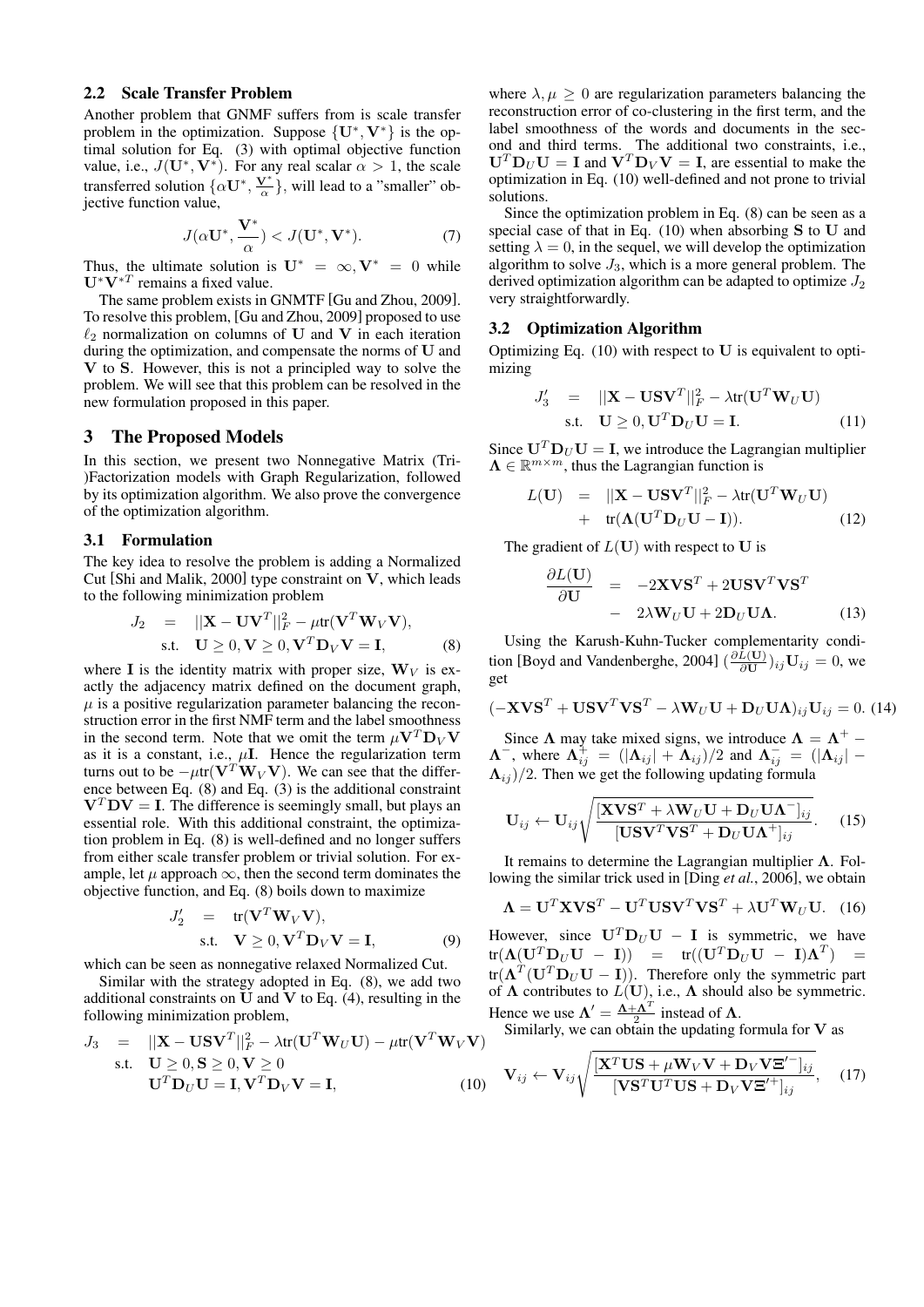# 2.2 Scale Transfer Problem

Another problem that GNMF suffers from is scale transfer problem in the optimization. Suppose  $\{U^*, V^*\}$  is the optimal solution for Eq. (3) with optimal objective function value, i.e.,  $J(\mathbf{U}^*, \mathbf{V}^*)$ . For any real scalar  $\alpha > 1$ , the scale transferred solution  $\{\alpha \mathbf{U}^*, \frac{\mathbf{V}^*}{\alpha}\}\$ , will lead to a "smaller" objective function value,

$$
J(\alpha \mathbf{U}^*, \frac{\mathbf{V}^*}{\alpha}) < J(\mathbf{U}^*, \mathbf{V}^*). \tag{7}
$$

Thus, the ultimate solution is  $U^* = \infty$ ,  $V^* = 0$  while **U***∗***V***∗<sup>T</sup>* remains a fixed value.

The same problem exists in GNMTF [Gu and Zhou, 2009]. To resolve this problem, [Gu and Zhou, 2009] proposed to use  $\ell_2$  normalization on columns of **U** and **V** in each iteration during the optimization, and compensate the norms of **U** and **V** to **S**. However, this is not a principled way to solve the problem. We will see that this problem can be resolved in the new formulation proposed in this paper.

# 3 The Proposed Models

In this section, we present two Nonnegative Matrix (Tri- )Factorization models with Graph Regularization, followed by its optimization algorithm. We also prove the convergence of the optimization algorithm.

#### 3.1 Formulation

The key idea to resolve the problem is adding a Normalized Cut [Shi and Malik, 2000] type constraint on **V**, which leads to the following minimization problem

$$
J_2 = ||\mathbf{X} - \mathbf{U}\mathbf{V}^T||_F^2 - \mu \text{tr}(\mathbf{V}^T \mathbf{W}_V \mathbf{V}),
$$
  
s.t.  $\mathbf{U} \ge 0, \mathbf{V} \ge 0, \mathbf{V}^T \mathbf{D}_V \mathbf{V} = \mathbf{I},$  (8)

where **I** is the identity matrix with proper size,  $W_V$  is exactly the adjacency matrix defined on the document graph,  $\mu$  is a positive regularization parameter balancing the reconstruction error in the first NMF term and the label smoothness in the second term. Note that we omit the term  $\mu$ **V**<sup>*T*</sup>**D**<sub>*V*</sub>**V** as it is a constant, i.e.,  $\mu$ **I**. Hence the regularization term turns out to be  $-\mu$ tr( $V^T W_V V$ ). We can see that the difference between Eq. (8) and Eq. (3) is the additional constraint  $V^T D V = I$ . The difference is seemingly small, but plays an essential role. With this additional constraint, the optimization problem in Eq. (8) is well-defined and no longer suffers from either scale transfer problem or trivial solution. For example, let  $\mu$  approach  $\infty$ , then the second term dominates the objective function, and Eq. (8) boils down to maximize

$$
J'_{2} = tr(\mathbf{V}^{T} \mathbf{W}_{V} \mathbf{V}),
$$
  
s.t.  $\mathbf{V} \geq 0, \mathbf{V}^{T} \mathbf{D}_{V} \mathbf{V} = \mathbf{I},$  (9)

which can be seen as nonnegative relaxed Normalized Cut.

Similar with the strategy adopted in Eq. (8), we add two additional constraints on **U** and **V** to Eq. (4), resulting in the following minimization problem,

$$
J_3 = ||\mathbf{X} - \mathbf{U}\mathbf{S}\mathbf{V}^T||_F^2 - \lambda \mathbf{tr}(\mathbf{U}^T \mathbf{W}_U \mathbf{U}) - \mu \mathbf{tr}(\mathbf{V}^T \mathbf{W}_V \mathbf{V})
$$
  
s.t.  $\mathbf{U} \ge 0, \mathbf{S} \ge 0, \mathbf{V} \ge 0$   
 $\mathbf{U}^T \mathbf{D}_U \mathbf{U} = \mathbf{I}, \mathbf{V}^T \mathbf{D}_V \mathbf{V} = \mathbf{I},$  (10)

where  $\lambda, \mu > 0$  are regularization parameters balancing the reconstruction error of co-clustering in the first term, and the label smoothness of the words and documents in the second and third terms. The additional two constraints, i.e.,  $\mathbf{U}^T \mathbf{D}_U \mathbf{U} = \mathbf{I}$  and  $\mathbf{V}^T \mathbf{D}_V \mathbf{V} = \mathbf{I}$ , are essential to make the optimization in Eq. (10) well-defined and not prone to trivial solutions.

Since the optimization problem in Eq. (8) can be seen as a special case of that in Eq. (10) when absorbing **S** to **U** and setting  $\lambda = 0$ , in the sequel, we will develop the optimization algorithm to solve  $J_3$ , which is a more general problem. The derived optimization algorithm can be adapted to optimize *J*<sup>2</sup> very straightforwardly.

#### 3.2 Optimization Algorithm

Optimizing Eq. (10) with respect to **U** is equivalent to optimizing

$$
J'_{3} = ||\mathbf{X} - \mathbf{U}\mathbf{S}\mathbf{V}^{T}||_{F}^{2} - \lambda \text{tr}(\mathbf{U}^{T}\mathbf{W}_{U}\mathbf{U})
$$
  
s.t. 
$$
\mathbf{U} \geq 0, \mathbf{U}^{T}\mathbf{D}_{U}\mathbf{U} = \mathbf{I}. \qquad (11)
$$

Since  $U^T D_U U = I$ , we introduce the Lagrangian multiplier  $\Lambda \in \mathbb{R}^{m \times m}$ , thus the Lagrangian function is

$$
L(\mathbf{U}) = ||\mathbf{X} - \mathbf{U}\mathbf{S}\mathbf{V}^T||_F^2 - \lambda \text{tr}(\mathbf{U}^T \mathbf{W}_U \mathbf{U}) + \text{tr}(\mathbf{\Lambda}(\mathbf{U}^T \mathbf{D}_U \mathbf{U} - \mathbf{I})).
$$
 (12)

The gradient of  $L(U)$  with respect to U is

$$
\frac{\partial L(\mathbf{U})}{\partial \mathbf{U}} = -2\mathbf{X}\mathbf{V}\mathbf{S}^T + 2\mathbf{U}\mathbf{S}\mathbf{V}^T\mathbf{V}\mathbf{S}^T \n- 2\lambda \mathbf{W}_U \mathbf{U} + 2\mathbf{D}_U \mathbf{U}\mathbf{\Lambda}.
$$
\n(13)

Using the Karush-Kuhn-Tucker complementarity condition [Boyd and Vandenberghe, 2004]  $\left(\frac{\partial L(\mathbf{U})}{\partial \mathbf{U}}\right)_{ij}\mathbf{U}_{ij} = 0$ , we get

$$
(-\mathbf{X}\mathbf{V}\mathbf{S}^T + \mathbf{U}\mathbf{S}\mathbf{V}^T\mathbf{V}\mathbf{S}^T - \lambda\mathbf{W}_U\mathbf{U} + \mathbf{D}_U\mathbf{U}\mathbf{\Lambda})_{ij}\mathbf{U}_{ij} = 0.
$$
 (14)

Since  $\Lambda$  may take mixed signs, we introduce  $\Lambda = \Lambda^+$  –  $\Lambda^{-}$ , where  $\Lambda^{+}_{ij}$  =  $(|\Lambda_{ij}| + \Lambda_{ij})/2$  and  $\Lambda^{-}_{ij}$  =  $(|\Lambda_{ij}| \Lambda_{ij}$  )/2. Then we get the following updating formula

$$
\mathbf{U}_{ij} \leftarrow \mathbf{U}_{ij} \sqrt{\frac{[\mathbf{X}\mathbf{V}\mathbf{S}^T + \lambda \mathbf{W}_U \mathbf{U} + \mathbf{D}_U \mathbf{U}\mathbf{\Lambda}^-]_{ij}}{[\mathbf{U}\mathbf{S}\mathbf{V}^T \mathbf{V}\mathbf{S}^T + \mathbf{D}_U \mathbf{U}\mathbf{\Lambda}^+]_{ij}}}. \quad (15)
$$

It remains to determine the Lagrangian multiplier **Λ**. Following the similar trick used in [Ding *et al.*, 2006], we obtain

$$
\Lambda = \mathbf{U}^T \mathbf{X} \mathbf{V} \mathbf{S}^T - \mathbf{U}^T \mathbf{U} \mathbf{S} \mathbf{V}^T \mathbf{V} \mathbf{S}^T + \lambda \mathbf{U}^T \mathbf{W}_U \mathbf{U}. \quad (16)
$$

However, since  $U^T D_U U - I$  is symmetric, we have  $\text{tr}(\mathbf{\Lambda}(\mathbf{U}^T \mathbf{D}_U \mathbf{U} \; - \; \mathbf{I})) \quad = \quad \text{tr}((\mathbf{U}^T \mathbf{D}_U \mathbf{U} \; - \; \mathbf{I})\mathbf{\Lambda}^T) \quad =$  $tr(\mathbf{\Lambda}^T(\mathbf{U}^T \mathbf{D}_U \mathbf{U} - \mathbf{I}))$ . Therefore only the symmetric part of **Λ** contributes to *L*(**U**), i.e., **Λ** should also be symmetric. Hence we use  $\Lambda' = \frac{\Lambda + \Lambda^T}{2}$  instead of  $\Lambda$ .

Similarly, we can obtain the updating formula for **V** as

$$
\mathbf{V}_{ij} \leftarrow \mathbf{V}_{ij} \sqrt{\frac{\left[\mathbf{X}^T \mathbf{U} \mathbf{S} + \mu \mathbf{W}_V \mathbf{V} + \mathbf{D}_V \mathbf{V} \mathbf{E}'^-\right]_{ij}}{\left[\mathbf{V} \mathbf{S}^T \mathbf{U}^T \mathbf{U} \mathbf{S} + \mathbf{D}_V \mathbf{V} \mathbf{E}'^+\right]_{ij}}},\quad(17)
$$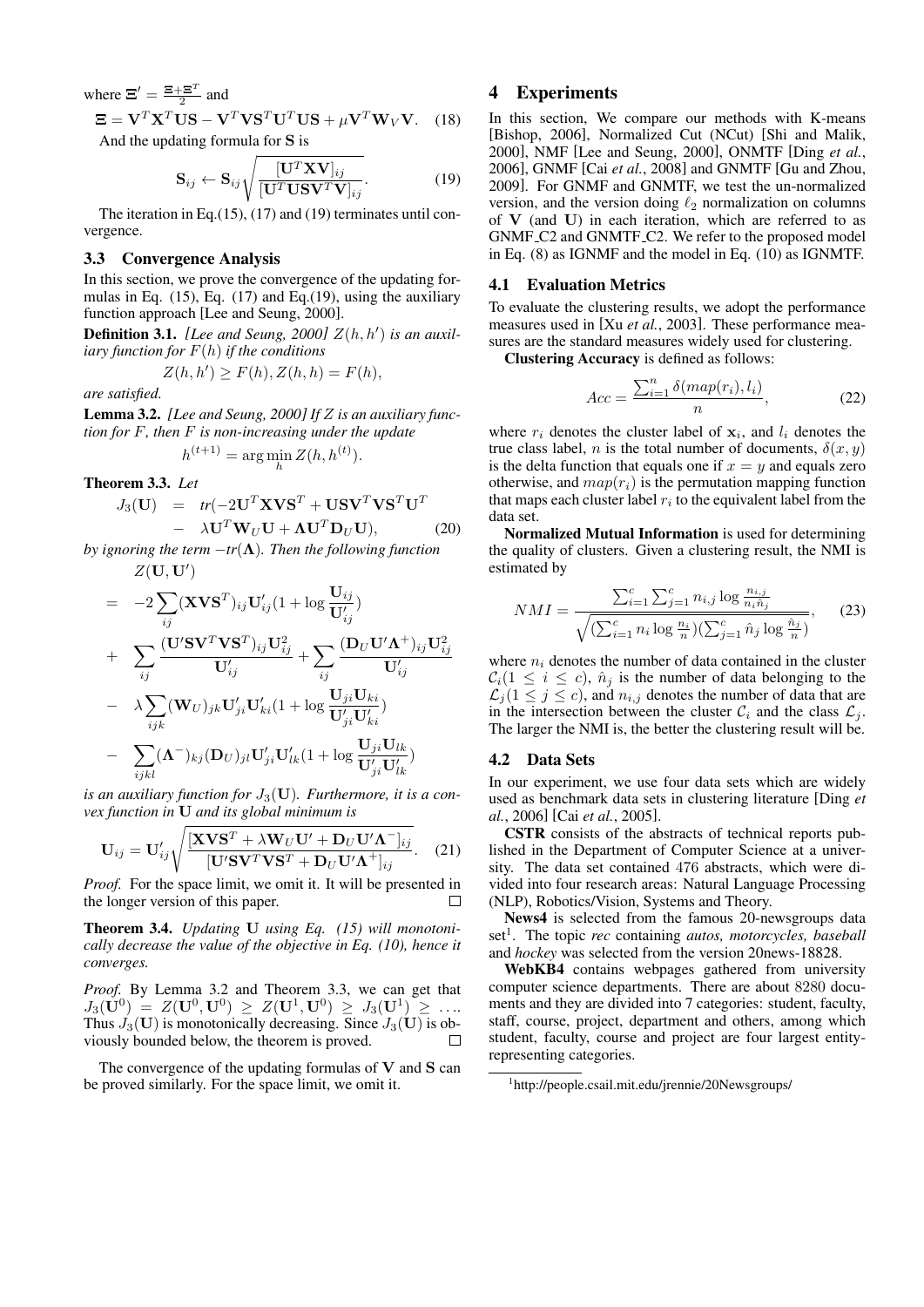where 
$$
\Xi' = \frac{\Xi + \Xi^T}{2}
$$
 and  
\n $\Xi = \mathbf{V}^T \mathbf{X}^T \mathbf{U} \mathbf{S} - \mathbf{V}^T \mathbf{V} \mathbf{S}^T \mathbf{U}^T \mathbf{U} \mathbf{S} + \mu \mathbf{V}^T \mathbf{W}_V \mathbf{V}.$  (18)

And the updating formula for **S** is

$$
\mathbf{S}_{ij} \leftarrow \mathbf{S}_{ij} \sqrt{\frac{[\mathbf{U}^T \mathbf{X} \mathbf{V}]_{ij}}{[\mathbf{U}^T \mathbf{U} \mathbf{S} \mathbf{V}^T \mathbf{V}]_{ij}}}.
$$
(19)

The iteration in Eq.(15), (17) and (19) terminates until convergence.

#### 3.3 Convergence Analysis

In this section, we prove the convergence of the updating formulas in Eq. (15), Eq. (17) and Eq.(19), using the auxiliary function approach [Lee and Seung, 2000].

**Definition 3.1.** [Lee and Seung, 2000]  $Z(h, h')$  is an auxil*iary function for F*(*h*) *if the conditions*

$$
Z(h, h') \ge F(h), Z(h, h) = F(h),
$$

*are satisfied.*

Lemma 3.2. *[Lee and Seung, 2000] If Z is an auxiliary function for F, then F is non-increasing under the update*

$$
h^{(t+1)} = \arg\min_{h} Z(h, h^{(t)}).
$$

Theorem 3.3. *Let*

$$
J_3(\mathbf{U}) = tr(-2\mathbf{U}^T \mathbf{X} \mathbf{V} \mathbf{S}^T + \mathbf{U} \mathbf{S} \mathbf{V}^T \mathbf{V} \mathbf{S}^T \mathbf{U}^T - \lambda \mathbf{U}^T \mathbf{W}_U \mathbf{U} + \mathbf{\Lambda} \mathbf{U}^T \mathbf{D}_U \mathbf{U}),
$$
 (20)

*by ignoring the term*  $-tr(\Lambda)$ *. Then the following function*  $Z(\mathbf{U},\mathbf{U}')$ 

$$
= -2 \sum_{ij} (\mathbf{X} \mathbf{V} \mathbf{S}^T)_{ij} \mathbf{U}'_{ij} (1 + \log \frac{\mathbf{U}_{ij}}{\mathbf{U}'_{ij}})
$$
  
+ 
$$
\sum_{ij} \frac{(\mathbf{U}' \mathbf{S} \mathbf{V}^T \mathbf{V} \mathbf{S}^T)_{ij} \mathbf{U}_{ij}^2}{\mathbf{U}'_{ij}} + \sum_{ij} \frac{(\mathbf{D}_U \mathbf{U}' \mathbf{\Lambda}^+)_{ij} \mathbf{U}_{ij}^2}{\mathbf{U}'_{ij}}
$$
  
- 
$$
\lambda \sum_{ijk} (\mathbf{W}_U)_{jk} \mathbf{U}'_{ji} \mathbf{U}'_{ki} (1 + \log \frac{\mathbf{U}_{ji} \mathbf{U}_{ki}}{\mathbf{U}'_{ji} \mathbf{U}'_{ki}})
$$
  
- 
$$
\sum_{ijkl} (\mathbf{\Lambda}^-)_{kj} (\mathbf{D}_U)_{jl} \mathbf{U}'_{ji} \mathbf{U}'_{lk} (1 + \log \frac{\mathbf{U}_{ji} \mathbf{U}_{lk}}{\mathbf{U}'_{ji} \mathbf{U}'_{lk}})
$$

*is an auxiliary function for*  $J_3(\mathbf{U})$ *. Furthermore, it is a convex function in* **U** *and its global minimum is*

$$
\mathbf{U}_{ij} = \mathbf{U}_{ij}' \sqrt{\frac{[\mathbf{X}\mathbf{V}\mathbf{S}^T + \lambda \mathbf{W}_U \mathbf{U}' + \mathbf{D}_U \mathbf{U}' \mathbf{\Lambda}^-]_{ij}}{[\mathbf{U}'\mathbf{S}\mathbf{V}^T \mathbf{V}\mathbf{S}^T + \mathbf{D}_U \mathbf{U}' \mathbf{\Lambda}^+]_{ij}}}. \quad (21)
$$

*Proof.* For the space limit, we omit it. It will be presented in the longer version of this paper.  $\Box$ 

Theorem 3.4. *Updating* **U** *using Eq. (15) will monotonically decrease the value of the objective in Eq. (10), hence it converges.*

*Proof.* By Lemma 3.2 and Theorem 3.3, we can get that  $J_3(\dot{\mathbf{U}}^0) \; = \; Z(\mathbf{U}^0, \mathbf{U}^0) \; \geq \; Z(\mathbf{U}^1, \mathbf{U}^0) \; \geq \; J_3(\mathbf{U}^1) \; \geq \; \ldots .$ Thus  $J_3(\mathbf{U})$  is monotonically decreasing. Since  $J_3(\mathbf{U})$  is obviously bounded below, the theorem is proved.  $\Box$ 

The convergence of the updating formulas of **V** and **S** can be proved similarly. For the space limit, we omit it.

# 4 Experiments

In this section, We compare our methods with K-means [Bishop, 2006], Normalized Cut (NCut) [Shi and Malik, 2000], NMF [Lee and Seung, 2000], ONMTF [Ding *et al.*, 2006], GNMF [Cai *et al.*, 2008] and GNMTF [Gu and Zhou, 2009]. For GNMF and GNMTF, we test the un-normalized version, and the version doing *ℓ*<sup>2</sup> normalization on columns of **V** (and **U**) in each iteration, which are referred to as GNMF C2 and GNMTF C2. We refer to the proposed model in Eq. (8) as IGNMF and the model in Eq. (10) as IGNMTF.

#### 4.1 Evaluation Metrics

To evaluate the clustering results, we adopt the performance measures used in [Xu *et al.*, 2003]. These performance measures are the standard measures widely used for clustering.

Clustering Accuracy is defined as follows:

$$
Acc = \frac{\sum_{i=1}^{n} \delta(map(r_i), l_i)}{n}, \qquad (22)
$$

where  $r_i$  denotes the cluster label of  $x_i$ , and  $l_i$  denotes the true class label, *n* is the total number of documents,  $\delta(x, y)$ is the delta function that equals one if  $x = y$  and equals zero otherwise, and  $map(r_i)$  is the permutation mapping function that maps each cluster label  $r_i$  to the equivalent label from the data set.

Normalized Mutual Information is used for determining the quality of clusters. Given a clustering result, the NMI is estimated by

$$
NMI = \frac{\sum_{i=1}^{c} \sum_{j=1}^{c} n_{i,j} \log \frac{n_{i,j}}{n_i \hat{n}_j}}{\sqrt{(\sum_{i=1}^{c} n_i \log \frac{n_i}{n})(\sum_{j=1}^{c} \hat{n}_j \log \frac{\hat{n}_j}{n})}},
$$
(23)

where  $n_i$  denotes the number of data contained in the cluster  $C_i(1 \leq i \leq c)$ ,  $\hat{n}_i$  is the number of data belonging to the  $\mathcal{L}_j$  ( $1 \leq j \leq c$ ), and  $n_{i,j}$  denotes the number of data that are in the intersection between the cluster  $C_i$  and the class  $\mathcal{L}_i$ . The larger the NMI is, the better the clustering result will be.

#### 4.2 Data Sets

In our experiment, we use four data sets which are widely used as benchmark data sets in clustering literature [Ding *et al.*, 2006] [Cai *et al.*, 2005].

CSTR consists of the abstracts of technical reports published in the Department of Computer Science at a university. The data set contained 476 abstracts, which were divided into four research areas: Natural Language Processing (NLP), Robotics/Vision, Systems and Theory.

News4 is selected from the famous 20-newsgroups data set<sup>1</sup>. The topic *rec* containing *autos, motorcycles, baseball* and *hockey* was selected from the version 20news-18828.

WebKB4 contains webpages gathered from university computer science departments. There are about 8280 documents and they are divided into 7 categories: student, faculty, staff, course, project, department and others, among which student, faculty, course and project are four largest entityrepresenting categories.

<sup>1</sup> http://people.csail.mit.edu/jrennie/20Newsgroups/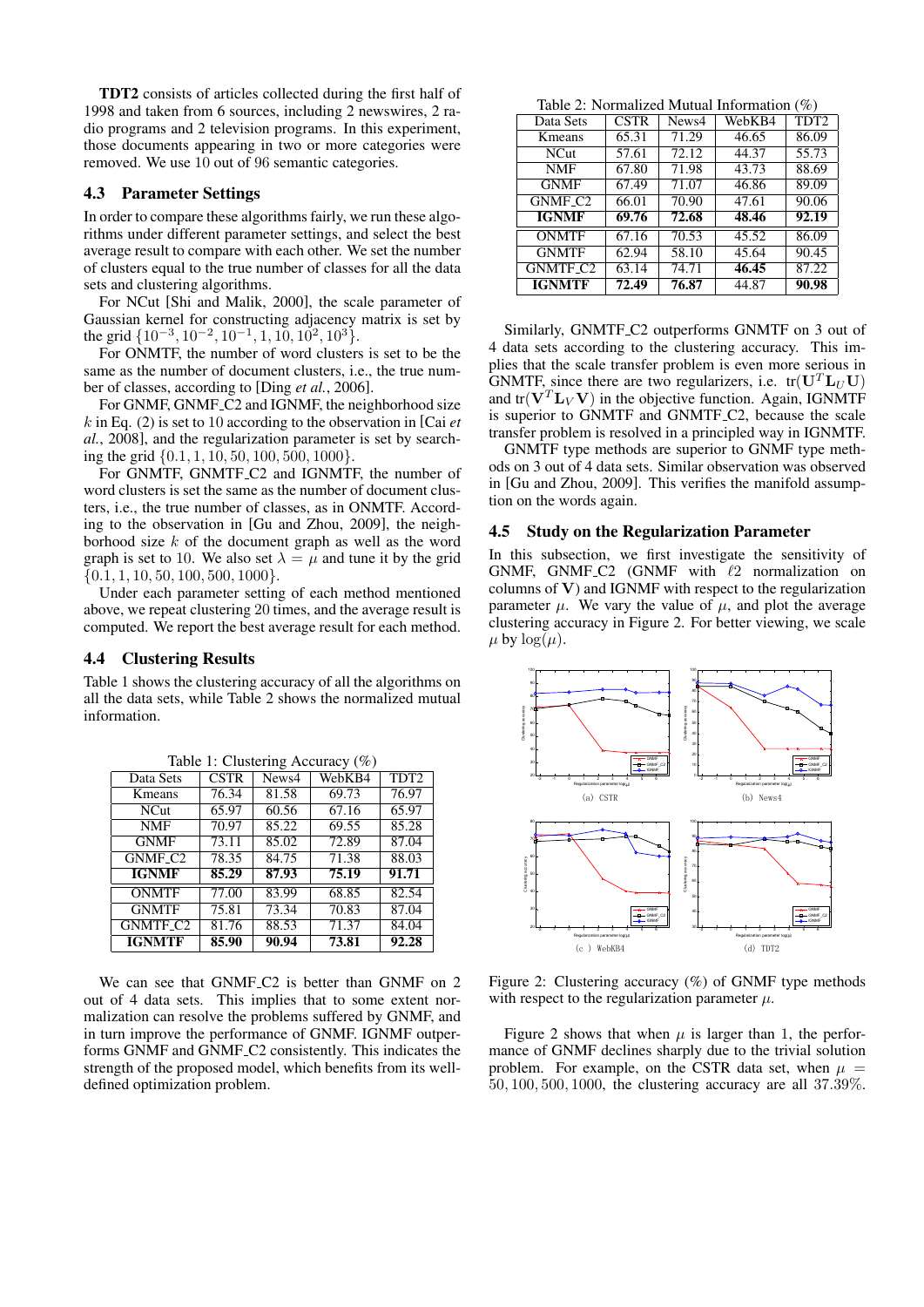TDT2 consists of articles collected during the first half of 1998 and taken from 6 sources, including 2 newswires, 2 radio programs and 2 television programs. In this experiment, those documents appearing in two or more categories were removed. We use 10 out of 96 semantic categories.

#### 4.3 Parameter Settings

In order to compare these algorithms fairly, we run these algorithms under different parameter settings, and select the best average result to compare with each other. We set the number of clusters equal to the true number of classes for all the data sets and clustering algorithms.

For NCut [Shi and Malik, 2000], the scale parameter of Gaussian kernel for constructing adjacency matrix is set by the grid *{*10*−*<sup>3</sup> *,* 10*−*<sup>2</sup> *,* 10*−*<sup>1</sup> *,* 1*,* 10*,* 10<sup>2</sup> *,* 10<sup>3</sup>*}*.

For ONMTF, the number of word clusters is set to be the same as the number of document clusters, i.e., the true number of classes, according to [Ding *et al.*, 2006].

For GNMF, GNMF<sub>-C2</sub> and IGNMF, the neighborhood size *k* in Eq. (2) is set to 10 according to the observation in [Cai *et al.*, 2008], and the regularization parameter is set by searching the grid *{*0*.*1*,* 1*,* 10*,* 50*,* 100*,* 500*,* 1000*}*.

For GNMTF, GNMTF<sub>-C2</sub> and IGNMTF, the number of word clusters is set the same as the number of document clusters, i.e., the true number of classes, as in ONMTF. According to the observation in [Gu and Zhou, 2009], the neighborhood size *k* of the document graph as well as the word graph is set to 10. We also set  $\lambda = \mu$  and tune it by the grid *{*0*.*1*,* 1*,* 10*,* 50*,* 100*,* 500*,* 1000*}*.

Under each parameter setting of each method mentioned above, we repeat clustering 20 times, and the average result is computed. We report the best average result for each method.

#### 4.4 Clustering Results

Table 1 shows the clustering accuracy of all the algorithms on all the data sets, while Table 2 shows the normalized mutual information.

| Data Sets      | <b>CSTR</b> | News4 | WebKB4 | TDT <sub>2</sub> |
|----------------|-------------|-------|--------|------------------|
| Kmeans         | 76.34       | 81.58 | 69.73  | 76.97            |
| <b>NCut</b>    | 65.97       | 60.56 | 67.16  | 65.97            |
| <b>NMF</b>     | 70.97       | 85.22 | 69.55  | 85.28            |
| <b>GNMF</b>    | 73.11       | 85.02 | 72.89  | 87.04            |
| <b>GNMF C2</b> | 78.35       | 84.75 | 71.38  | 88.03            |
| <b>IGNMF</b>   | 85,29       | 87.93 | 75.19  | 91.71            |
| <b>ONMTF</b>   | 77.00       | 83.99 | 68.85  | 82.54            |
| <b>GNMTF</b>   | 75.81       | 73.34 | 70.83  | 87.04            |
| GNMTF_C2       | 81.76       | 88.53 | 71.37  | 84.04            |
| IGNMTF         | 85.90       | 90.94 | 73.81  | 92.28            |

Table 1: Clustering Accuracy (%)

We can see that GNMF<sub>-C2</sub> is better than GNMF on 2 out of 4 data sets. This implies that to some extent normalization can resolve the problems suffered by GNMF, and in turn improve the performance of GNMF. IGNMF outperforms GNMF and GNMF C2 consistently. This indicates the strength of the proposed model, which benefits from its welldefined optimization problem.

Table 2: Normalized Mutual Information (%)

| Data Sets            | <b>CSTR</b> | News4 | WebKB4 | TDT <sub>2</sub> |
|----------------------|-------------|-------|--------|------------------|
| Kmeans               | 65.31       | 71.29 | 46.65  | 86.09            |
| <b>NCut</b>          | 57.61       | 72.12 | 44.37  | 55.73            |
| <b>NMF</b>           | 67.80       | 71.98 | 43.73  | 88.69            |
| <b>GNMF</b>          | 67.49       | 71.07 | 46.86  | 89.09            |
| GNMF <sub>-C2</sub>  | 66.01       | 70.90 | 47.61  | 90.06            |
| <b>IGNMF</b>         | 69.76       | 72.68 | 48.46  | 92.19            |
| <b>ONMTF</b>         | 67.16       | 70.53 | 45.52  | 86.09            |
| <b>GNMTF</b>         | 62.94       | 58.10 | 45.64  | 90.45            |
| GNMTF <sub>-C2</sub> | 63.14       | 74.71 | 46.45  | 87.22            |
| <b>IGNMTF</b>        | 72.49       | 76.87 | 44.87  | 90.98            |

Similarly, GNMTF C2 outperforms GNMTF on 3 out of 4 data sets according to the clustering accuracy. This implies that the scale transfer problem is even more serious in GNMTF, since there are two regularizers, i.e.  $tr(\mathbf{U}^T \mathbf{L}_U \mathbf{U})$ and  $tr(\mathbf{V}^T \mathbf{L}_V \mathbf{V})$  in the objective function. Again, IGNMTF is superior to GNMTF and GNMTF C2, because the scale transfer problem is resolved in a principled way in IGNMTF.

GNMTF type methods are superior to GNMF type methods on 3 out of 4 data sets. Similar observation was observed in [Gu and Zhou, 2009]. This verifies the manifold assumption on the words again.

#### 4.5 Study on the Regularization Parameter

In this subsection, we first investigate the sensitivity of GNMF, GNMF C2 (GNMF with *ℓ*2 normalization on columns of **V**) and IGNMF with respect to the regularization parameter  $\mu$ . We vary the value of  $\mu$ , and plot the average clustering accuracy in Figure 2. For better viewing, we scale  $\mu$  by  $\log(\mu)$ .



Figure 2: Clustering accuracy (%) of GNMF type methods with respect to the regularization parameter  $\mu$ .

Figure 2 shows that when  $\mu$  is larger than 1, the performance of GNMF declines sharply due to the trivial solution problem. For example, on the CSTR data set, when  $\mu$  = 50*,* 100*,* 500*,* 1000, the clustering accuracy are all 37*.*39%.